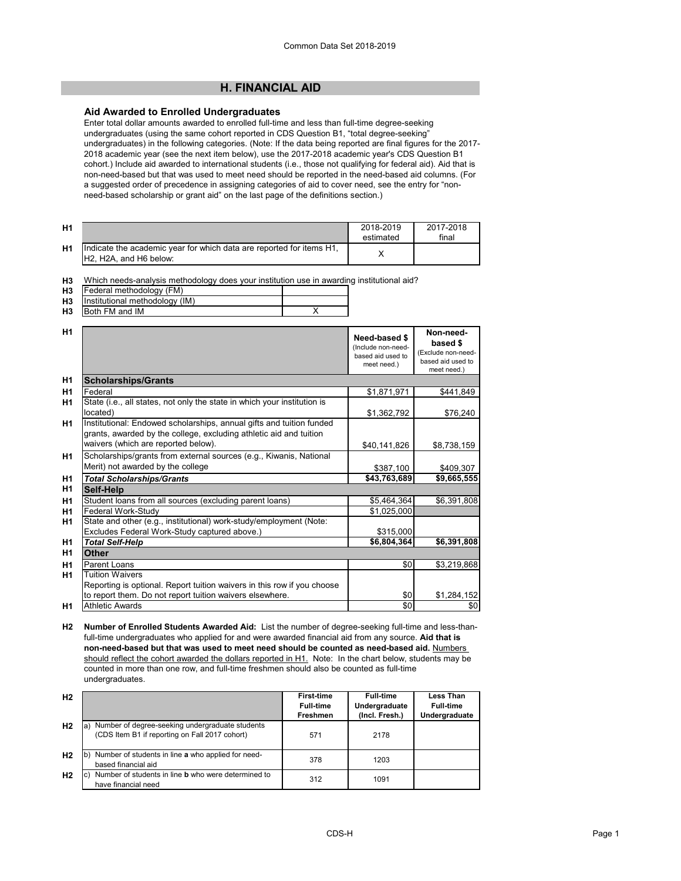# **H. FINANCIAL AID**

### **Aid Awarded to Enrolled Undergraduates**

Enter total dollar amounts awarded to enrolled full-time and less than full-time degree-seeking undergraduates (using the same cohort reported in CDS Question B1, "total degree-seeking" undergraduates) in the following categories. (Note: If the data being reported are final figures for the 2017- 2018 academic year (see the next item below), use the 2017-2018 academic year's CDS Question B1 cohort.) Include aid awarded to international students (i.e., those not qualifying for federal aid). Aid that is non-need-based but that was used to meet need should be reported in the need-based aid columns. (For a suggested order of precedence in assigning categories of aid to cover need, see the entry for "nonneed-based scholarship or grant aid" on the last page of the definitions section.)

| <b>H1</b>      |                                                                                                                                       | 2018-2019<br>estimated | 2017-2018<br>final |
|----------------|---------------------------------------------------------------------------------------------------------------------------------------|------------------------|--------------------|
| H <sub>1</sub> | llndicate the academic vear for which data are reported for items H1.<br>H <sub>2</sub> . H <sub>2</sub> A, and H <sub>6</sub> below: |                        |                    |

**H3** Which needs-analysis methodology does your institution use in awarding institutional aid?

| H <sub>3</sub> | Federal methodology (FM)       |  |
|----------------|--------------------------------|--|
| H3             | Institutional methodology (IM) |  |
| H <sub>3</sub> | Both FM and IM                 |  |

| H <sub>1</sub> |                                                                                                                                                                                   | Need-based \$<br>(Include non-need-<br>based aid used to<br>meet need.) | Non-need-<br>based \$<br>(Exclude non-need-<br>based aid used to<br>meet need.) |
|----------------|-----------------------------------------------------------------------------------------------------------------------------------------------------------------------------------|-------------------------------------------------------------------------|---------------------------------------------------------------------------------|
| H1             | <b>Scholarships/Grants</b>                                                                                                                                                        |                                                                         |                                                                                 |
| H <sub>1</sub> | Federal                                                                                                                                                                           | \$1,871,971                                                             | \$441,849                                                                       |
| H <sub>1</sub> | State (i.e., all states, not only the state in which your institution is<br>located)                                                                                              | \$1,362,792                                                             | \$76,240                                                                        |
| H <sub>1</sub> | Institutional: Endowed scholarships, annual gifts and tuition funded<br>grants, awarded by the college, excluding athletic aid and tuition<br>waivers (which are reported below). | \$40,141,826                                                            | \$8,738,159                                                                     |
| <b>H1</b>      | Scholarships/grants from external sources (e.g., Kiwanis, National<br>Merit) not awarded by the college                                                                           | \$387,100                                                               | \$409,307                                                                       |
| H <sub>1</sub> | <b>Total Scholarships/Grants</b>                                                                                                                                                  | \$43,763,689                                                            | \$9,665,555                                                                     |
| H1             | Self-Help                                                                                                                                                                         |                                                                         |                                                                                 |
| H1             | Student loans from all sources (excluding parent loans)                                                                                                                           | \$5,464,364                                                             | \$6,391,808                                                                     |
| H <sub>1</sub> | Federal Work-Study                                                                                                                                                                | \$1,025,000                                                             |                                                                                 |
| H <sub>1</sub> | State and other (e.g., institutional) work-study/employment (Note:                                                                                                                |                                                                         |                                                                                 |
|                | Excludes Federal Work-Study captured above.)                                                                                                                                      | \$315,000                                                               |                                                                                 |
| H <sub>1</sub> | <b>Total Self-Help</b>                                                                                                                                                            | \$6,804,364                                                             | \$6,391,808                                                                     |
| H1             | <b>Other</b>                                                                                                                                                                      |                                                                         |                                                                                 |
| H <sub>1</sub> | Parent Loans                                                                                                                                                                      | \$0                                                                     | \$3,219,868                                                                     |
| <b>H1</b>      | <b>Tuition Waivers</b>                                                                                                                                                            |                                                                         |                                                                                 |
|                | Reporting is optional. Report tuition waivers in this row if you choose                                                                                                           |                                                                         |                                                                                 |
|                | to report them. Do not report tuition waivers elsewhere.                                                                                                                          | \$0                                                                     | \$1,284,152                                                                     |
| H1             | <b>Athletic Awards</b>                                                                                                                                                            | \$0                                                                     | \$0                                                                             |

**H2 Number of Enrolled Students Awarded Aid:** List the number of degree-seeking full-time and less-thanfull-time undergraduates who applied for and were awarded financial aid from any source. **Aid that is non-need-based but that was used to meet need should be counted as need-based aid.** Numbers should reflect the cohort awarded the dollars reported in H1. Note: In the chart below, students may be counted in more than one row, and full-time freshmen should also be counted as full-time undergraduates.

| H <sub>2</sub> |                                                               | <b>First-time</b> | <b>Full-time</b> | Less Than        |
|----------------|---------------------------------------------------------------|-------------------|------------------|------------------|
|                |                                                               | <b>Full-time</b>  | Undergraduate    | <b>Full-time</b> |
|                |                                                               | Freshmen          | (Incl. Fresh.)   | Undergraduate    |
| H <sub>2</sub> | Number of degree-seeking undergraduate students<br>la)        |                   |                  |                  |
|                | (CDS Item B1 if reporting on Fall 2017 cohort)                | 571               | 2178             |                  |
|                |                                                               |                   |                  |                  |
| H <sub>2</sub> | b) Number of students in line a who applied for need-         | 378               | 1203             |                  |
|                | based financial aid                                           |                   |                  |                  |
| H <sub>2</sub> | c) Number of students in line <b>b</b> who were determined to | 312               | 1091             |                  |
|                | have financial need                                           |                   |                  |                  |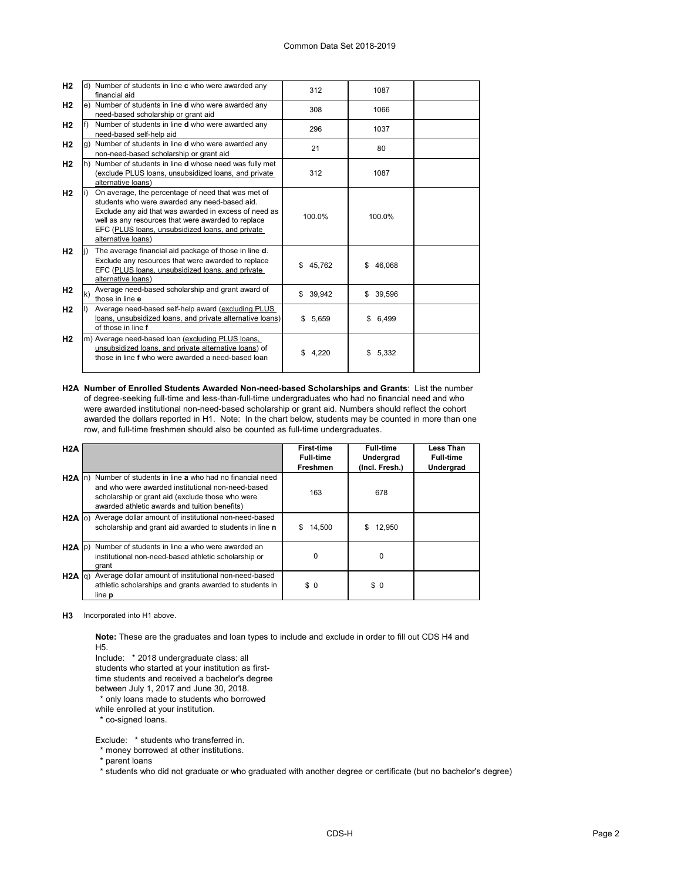| H2             |              | d) Number of students in line c who were awarded any<br>financial aid                                                                                                                                                                                                                        | 312       | 1087         |  |
|----------------|--------------|----------------------------------------------------------------------------------------------------------------------------------------------------------------------------------------------------------------------------------------------------------------------------------------------|-----------|--------------|--|
| H <sub>2</sub> |              | e) Number of students in line d who were awarded any<br>need-based scholarship or grant aid                                                                                                                                                                                                  | 308       | 1066         |  |
| H2             |              | Number of students in line <b>d</b> who were awarded any<br>need-based self-help aid                                                                                                                                                                                                         | 296       | 1037         |  |
| H <sub>2</sub> |              | g) Number of students in line d who were awarded any<br>non-need-based scholarship or grant aid                                                                                                                                                                                              | 21        | 80           |  |
| H <sub>2</sub> |              | h) Number of students in line <b>d</b> whose need was fully met<br>(exclude PLUS loans, unsubsidized loans, and private<br>alternative loans)                                                                                                                                                | 312       | 1087         |  |
| H2             |              | On average, the percentage of need that was met of<br>students who were awarded any need-based aid.<br>Exclude any aid that was awarded in excess of need as<br>well as any resources that were awarded to replace<br>EFC (PLUS loans, unsubsidized loans, and private<br>alternative loans) | 100.0%    | 100.0%       |  |
| H <sub>2</sub> |              | The average financial aid package of those in line d.<br>Exclude any resources that were awarded to replace<br>EFC (PLUS loans, unsubsidized loans, and private<br>alternative loans)                                                                                                        | \$45,762  | 46,068<br>\$ |  |
| H2             | $\mathsf{k}$ | Average need-based scholarship and grant award of<br>those in line e                                                                                                                                                                                                                         | \$ 39,942 | \$39,596     |  |
| H <sub>2</sub> |              | Average need-based self-help award (excluding PLUS<br>loans, unsubsidized loans, and private alternative loans)<br>of those in line f                                                                                                                                                        | \$5,659   | 6,499<br>\$  |  |
| H <sub>2</sub> |              | m) Average need-based loan (excluding PLUS loans,<br>unsubsidized loans, and private alternative loans) of<br>those in line f who were awarded a need-based loan                                                                                                                             | \$4,220   | 5,332<br>\$  |  |

**H2A Number of Enrolled Students Awarded Non-need-based Scholarships and Grants**: List the number of degree-seeking full-time and less-than-full-time undergraduates who had no financial need and who were awarded institutional non-need-based scholarship or grant aid. Numbers should reflect the cohort awarded the dollars reported in H1. Note: In the chart below, students may be counted in more than one row, and full-time freshmen should also be counted as full-time undergraduates.

| H2A             |                                                                                                                                                                                                                          | First-time       | <b>Full-time</b> | Less Than        |
|-----------------|--------------------------------------------------------------------------------------------------------------------------------------------------------------------------------------------------------------------------|------------------|------------------|------------------|
|                 |                                                                                                                                                                                                                          | <b>Full-time</b> | Undergrad        | <b>Full-time</b> |
|                 |                                                                                                                                                                                                                          | Freshmen         | (Incl. Fresh.)   | Undergrad        |
|                 | H2A In) Number of students in line a who had no financial need<br>and who were awarded institutional non-need-based<br>scholarship or grant aid (exclude those who were<br>awarded athletic awards and tuition benefits) | 163              | 678              |                  |
|                 | H <sub>2</sub> A o) Average dollar amount of institutional non-need-based<br>scholarship and grant aid awarded to students in line n                                                                                     | 14,500<br>S      | 12,950<br>S.     |                  |
|                 | H2A (p) Number of students in line a who were awarded an<br>institutional non-need-based athletic scholarship or<br>grant                                                                                                | $\Omega$         | U                |                  |
| $H2A  q\rangle$ | Average dollar amount of institutional non-need-based<br>athletic scholarships and grants awarded to students in<br>line <b>p</b>                                                                                        | \$0              | \$0              |                  |

**H3** Incorporated into H1 above.

**Note:** These are the graduates and loan types to include and exclude in order to fill out CDS H4 and H5.

Include: \* 2018 undergraduate class: all

students who started at your institution as first-

time students and received a bachelor's degree

between July 1, 2017 and June 30, 2018.

\* only loans made to students who borrowed

while enrolled at your institution.

\* co-signed loans.

Exclude: \* students who transferred in.

\* money borrowed at other institutions.

\* parent loans

\* students who did not graduate or who graduated with another degree or certificate (but no bachelor's degree)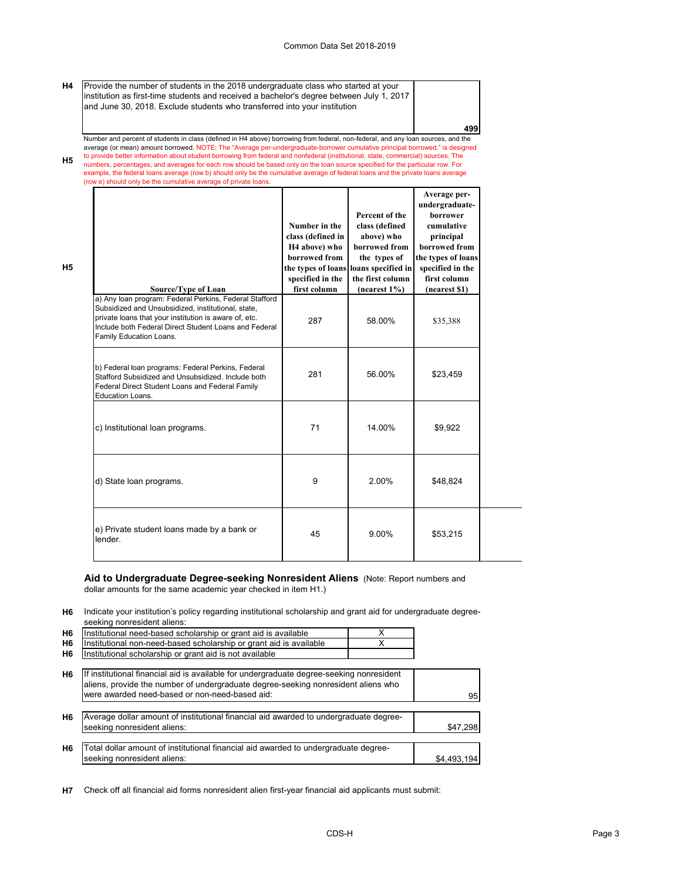**499**

**H4** Provide the number of students in the 2018 undergraduate class who started at your institution as first-time students and received a bachelor's degree between July 1, 2017 and June 30, 2018. Exclude students who transferred into your institution

**H5** Number and percent of students in class (defined in H4 above) borrowing from federal, non-federal, and any loan sources, and the average (or mean) amount borrowed. NOTE: The "Average per-undergraduate-borrower cumulative principal borrowed," is designed<br>to provide better information about student borrowing from federal and nonfederal (institutional, numbers, percentages, and averages for each row should be based only on the loan source specified for the particular row. For example, the federal loans average (row b) should only be the cumulative average of federal loans and the private loans average (row e) should only be the cumulative average of private loans.

| Source/Type of Loan                                                                                                                                                                                                                                       | Number in the<br>class (defined in<br>H <sub>4</sub> above) who<br>borrowed from<br>the types of loans<br>specified in the<br>first column | Percent of the<br>class (defined<br>above) who<br>borrowed from<br>the types of<br>loans specified in<br>the first column<br>$(nearest 1\%)$ | Average per-<br>undergraduate-<br><b>borrower</b><br>cumulative<br>principal<br>borrowed from<br>the types of loans<br>specified in the<br>first column<br>(nearest \$1) |
|-----------------------------------------------------------------------------------------------------------------------------------------------------------------------------------------------------------------------------------------------------------|--------------------------------------------------------------------------------------------------------------------------------------------|----------------------------------------------------------------------------------------------------------------------------------------------|--------------------------------------------------------------------------------------------------------------------------------------------------------------------------|
| a) Any loan program: Federal Perkins, Federal Stafford<br>Subsidized and Unsubsidized, institutional, state,<br>private loans that your institution is aware of, etc.<br>Include both Federal Direct Student Loans and Federal<br>Family Education Loans. | 287                                                                                                                                        | 58.00%                                                                                                                                       | \$35,388                                                                                                                                                                 |
| b) Federal loan programs: Federal Perkins, Federal<br>Stafford Subsidized and Unsubsidized. Include both<br>Federal Direct Student Loans and Federal Family<br>Education Loans.                                                                           | 281                                                                                                                                        | 56.00%                                                                                                                                       | \$23,459                                                                                                                                                                 |
| c) Institutional loan programs.                                                                                                                                                                                                                           | 71                                                                                                                                         | 14.00%                                                                                                                                       | \$9.922                                                                                                                                                                  |
| d) State loan programs.                                                                                                                                                                                                                                   | 9                                                                                                                                          | 2.00%                                                                                                                                        | \$48,824                                                                                                                                                                 |
| e) Private student loans made by a bank or<br>lender.                                                                                                                                                                                                     | 45                                                                                                                                         | 9.00%                                                                                                                                        | \$53,215                                                                                                                                                                 |

# **Aid to Undergraduate Degree-seeking Nonresident Aliens** (Note: Report numbers and

dollar amounts for the same academic year checked in item H1.)

**H5**

**H6** Indicate your institution's policy regarding institutional scholarship and grant aid for undergraduate degreeseeking nonresident aliens:

| H <sub>6</sub> | Institutional need-based scholarship or grant aid is available                                                                                                                                                                  | x |             |
|----------------|---------------------------------------------------------------------------------------------------------------------------------------------------------------------------------------------------------------------------------|---|-------------|
| H <sub>6</sub> | Institutional non-need-based scholarship or grant aid is available                                                                                                                                                              | x |             |
| H6             | Institutional scholarship or grant aid is not available                                                                                                                                                                         |   |             |
| H <sub>6</sub> | If institutional financial aid is available for undergraduate degree-seeking nonresident<br>aliens, provide the number of undergraduate degree-seeking nonresident aliens who<br>were awarded need-based or non-need-based aid: |   | 95          |
| H6             | Average dollar amount of institutional financial aid awarded to undergraduate degree-<br>seeking nonresident aliens:                                                                                                            |   | \$47.298    |
| H6             | Total dollar amount of institutional financial aid awarded to undergraduate degree-<br>seeking nonresident aliens:                                                                                                              |   | \$4,493,194 |

**H7** Check off all financial aid forms nonresident alien first-year financial aid applicants must submit: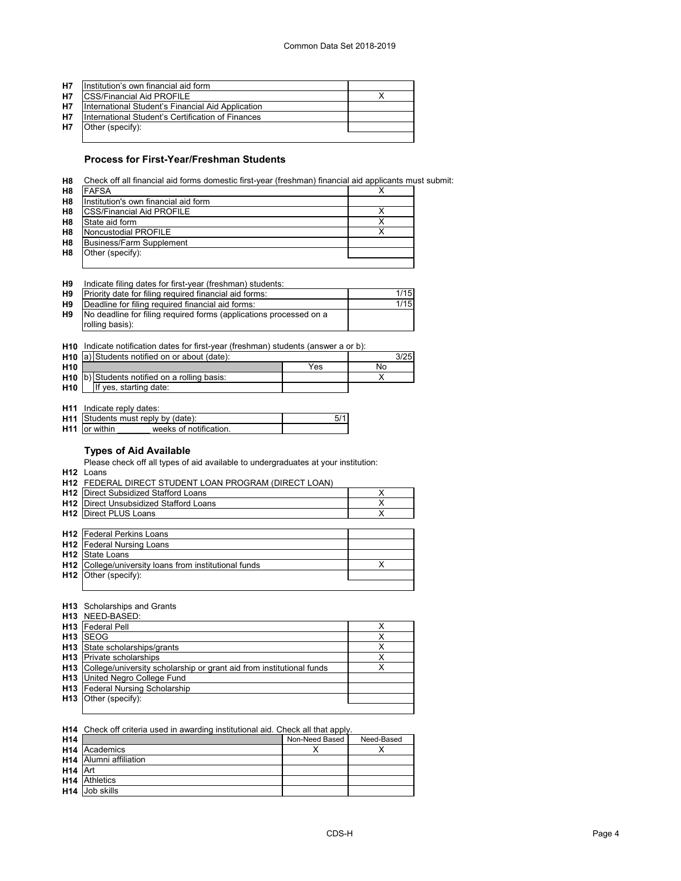| <b>H7</b> | Institution's own financial aid form              |  |
|-----------|---------------------------------------------------|--|
| <b>H7</b> | <b>ICSS/Financial Aid PROFILE</b>                 |  |
| <b>H7</b> | International Student's Financial Aid Application |  |
| <b>H7</b> | International Student's Certification of Finances |  |
| <b>H7</b> | Other (specify):                                  |  |
|           |                                                   |  |

## **Process for First-Year/Freshman Students**

**H8** Check off all financial aid forms domestic first-year (freshman) financial aid applicants must submit:

| H <sub>8</sub> | <b>FAFSA</b>                         |  |
|----------------|--------------------------------------|--|
| H <sub>8</sub> | Institution's own financial aid form |  |
| H <sub>8</sub> | <b>CSS/Financial Aid PROFILE</b>     |  |
| H <sub>8</sub> | State aid form                       |  |
| H <sub>8</sub> | Noncustodial PROFILE                 |  |
| H <sub>8</sub> | <b>Business/Farm Supplement</b>      |  |
| H <sub>8</sub> | Other (specify):                     |  |
|                |                                      |  |

| H <sub>9</sub> | Indicate filing dates for first-year (freshman) students: |  |  |
|----------------|-----------------------------------------------------------|--|--|
|                |                                                           |  |  |

| H9        | Priority date for filing required financial aid forms:             | 1/15 |
|-----------|--------------------------------------------------------------------|------|
| <b>H9</b> | Deadline for filing required financial aid forms:                  | 1/15 |
| H9        | No deadline for filing required forms (applications processed on a |      |
|           | rolling basis):                                                    |      |

**H10** Indicate notification dates for first-year (freshman) students (answer a or b):

|                 | H <sub>10</sub> a) Students notified on or about (date): |     | 3/25 |
|-----------------|----------------------------------------------------------|-----|------|
| H <sub>10</sub> |                                                          | Yes | No   |
|                 | H10 b) Students notified on a rolling basis:             |     |      |
| H <sub>10</sub> | If yes, starting date:                                   |     |      |

**H11** Indicate reply dates:

|                      | H11 Students must reply by (date): |  |
|----------------------|------------------------------------|--|
| <b>H11</b> or within | weeks of notification              |  |

## **Types of Aid Available**

Please check off all types of aid available to undergraduates at your institution:

**H12** Loans

|                 | H12 FEDERAL DIRECT STUDENT LOAN PROGRAM (DIRECT LOAN) |   |  |
|-----------------|-------------------------------------------------------|---|--|
|                 | <b>H12</b> Direct Subsidized Stafford Loans           |   |  |
|                 | <b>H12</b> Direct Unsubsidized Stafford Loans         | х |  |
|                 | <b>H12</b> Direct PLUS Loans                          | х |  |
|                 |                                                       |   |  |
|                 | <b>H12</b> Federal Perkins Loans                      |   |  |
|                 | <b>H12</b> Federal Nursing Loans                      |   |  |
| H12             | State Loans                                           |   |  |
| H <sub>12</sub> | College/university loans from institutional funds     |   |  |
| H <sub>12</sub> | Other (specify):                                      |   |  |
|                 |                                                       |   |  |

#### **H13** Scholarships and Grants

|                 | <b>H13</b> NEED-BASED:                                                   |   |
|-----------------|--------------------------------------------------------------------------|---|
|                 | <b>H13</b> Federal Pell                                                  |   |
| H <sub>13</sub> | <b>SEOG</b>                                                              |   |
|                 | H <sub>13</sub> State scholarships/grants                                |   |
|                 | <b>H13</b> Private scholarships                                          | х |
|                 | H13 College/university scholarship or grant aid from institutional funds |   |
|                 | <b>H13</b> United Negro College Fund                                     |   |
| H13             | Federal Nursing Scholarship                                              |   |
|                 | H13 Other (specify):                                                     |   |
|                 |                                                                          |   |

#### **H14** Check off criteria used in awarding institutional aid. Check all that apply.

| H <sub>14</sub>     |                               | Non-Need Based | Need-Based |
|---------------------|-------------------------------|----------------|------------|
|                     | <b>H14</b> Academics          |                |            |
|                     | <b>H14</b> Alumni affiliation |                |            |
| H <sub>14</sub> Art |                               |                |            |
|                     | <b>H14</b> Athletics          |                |            |
|                     | <b>H14</b> Job skills         |                |            |